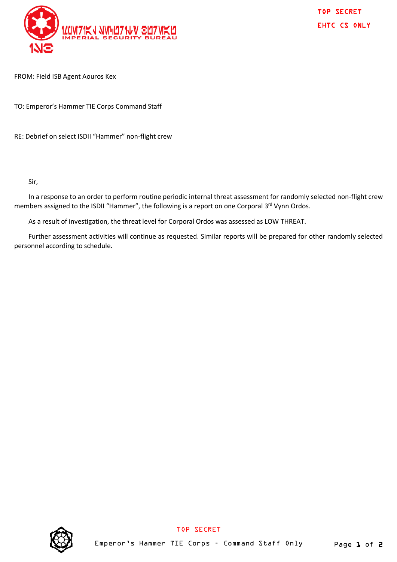

TOP SECRET EHTC CS ONLY

FROM: Field ISB Agent Aouros Kex

TO: Emperor's Hammer TIE Corps Command Staff

RE: Debrief on select ISDII "Hammer" non-flight crew

Sir,

In a response to an order to perform routine periodic internal threat assessment for randomly selected non-flight crew members assigned to the ISDII "Hammer", the following is a report on one Corporal 3<sup>rd</sup> Vynn Ordos.

As a result of investigation, the threat level for Corporal Ordos was assessed as LOW THREAT.

Further assessment activities will continue as requested. Similar reports will be prepared for other randomly selected personnel according to schedule.